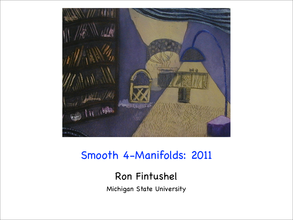

## Smooth 4-Manifolds: 2011

## Ron Fintushel

Michigan State University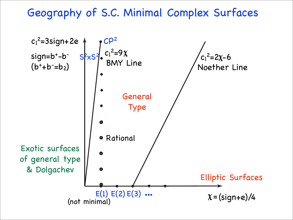## Geography of S.C. Minimal Complex Surfaces

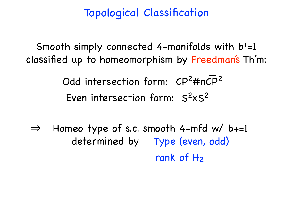Topological Classification

Smooth simply connected 4-manifolds with b+=1 classified up to homeomorphism by Freedman's Th'm:

> Even intersection form:  $S<sup>2</sup> \times S<sup>2</sup>$ Odd intersection form:  $CP<sup>2</sup>$ #nCP<sup>2</sup>

 $\Rightarrow$  Homeo type of s.c. smooth 4-mfd w/ b+=1 determined by Type (even, odd) rank of  $H_2$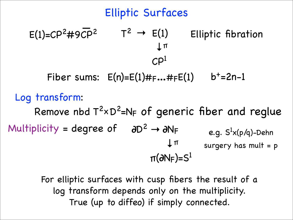Elliptic Surfaces Remove nbd  $T^2 \times D^2 = N_F$  of generic fiber and reglue Log transform:  $E(1)=CP^2+9CP^2$   $T^2 \to E(1)$ **→** !  $\mathcal{C}$  $\mathsf{P}^1$ Elliptic fibration Multiplicity = degree of  $\partial D^2 \rightarrow \partial N_F$ **→** !  $\pi(\partial N_F)=S^1$ e.g.  $\mathsf{S}^1$ x(p/q)-Dehn surgery has mult =  $p$ Fiber sums:  $E(n)=E(1)$ # $F...#FE(1)$   $b^+=2n-1$ 

> For elliptic surfaces with cusp fibers the result of a log transform depends only on the multiplicity. True (up to diffeo) if simply connected.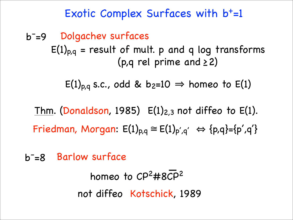## Exotic Complex Surfaces with  $b<sup>+</sup>=1$

b<sup>-</sup>=9 Dolgachev surfaces  $E(1)_{p,q}$  = result of mult. p and q log transforms (p,q rel prime and  $\geq$  2)

 $E(1)_{p,q}$  s.c., odd & b<sub>2</sub>=10  $\Rightarrow$  homeo to  $E(1)$ 

Thm. (Donaldson, 1985)  $E(1)_{2,3}$  not diffeo to  $E(1)$ . Friedman, Morgan:  $E(1)_{p,q} \cong E(1)_{p',q'} \Leftrightarrow {p,q}=\{p',q'\}$ 

b- =8 Barlow surface

homeo to  $CP<sup>2</sup>$ #8 $CP<sup>2</sup>$ not diffeo Kotschick, 1989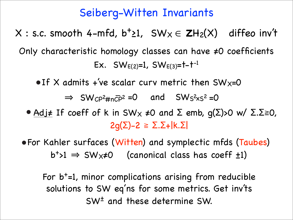## Seiberg-Witten Invariants

X : s.c. smooth 4-mfd,  $b^+$ 21, SW<sub>X</sub>  $\in$  **Z**H<sub>2</sub>(X) diffeo inv<sup>'t</sup> Only characteristic homology classes can have #0 coefficients Ex.  $SW_{E(2)}=1$ ,  $SW_{E(3)}=1-t^{-1}$ 

 $\bullet$  If X admits +'ve scalar curv metric then SW $x=0$ 

 $\Rightarrow$  SW<sub>C</sub> $P^2$ #n<sup> $\overline{CP}^2$ </sup> =0 and SW<sub>S</sub><sup>2</sup>x<sub>S</sub><sup>2</sup> =0

- Adj $\neq$  If coeff of k in SW<sub>X</sub>  $\neq$ 0 and  $\Sigma$  emb, g( $\Sigma$ )>0 w/  $\Sigma$ . $\Sigma \ge 0$ ,  $2g(\Sigma)-2 \geq \Sigma.\Sigma+|k.\Sigma|$
- For Kahler surfaces (Witten) and symplectic mfds (Taubes)  $b^{+}>1 \Rightarrow SW_{X} \neq 0$  (canonical class has coeff  $\pm 1$ )

For  $b<sup>+</sup>=1$ , minor complications arising from reducible solutions to SW eq'ns for some metrics. Get inv'ts SW± and these determine SW.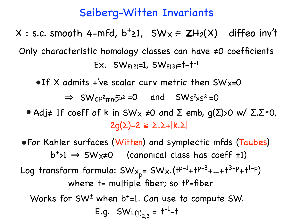## Seiberg-Witten Invariants

X : s.c. smooth 4-mfd,  $b^+$ 21, SW<sub>X</sub>  $\in$  **Z**H<sub>2</sub>(X) diffeo inv<sup>'t</sup> Only characteristic homology classes can have #0 coefficients Ex.  $SW_{E(2)}=1$ ,  $SW_{E(3)}=+1^{-1}$ 

 $\bullet$  If X admits +'ve scalar curv metric then SW<sub>X</sub>=0

 $\Rightarrow$  SW<sub>C</sub> $P^2$ #nC<sub>P</sub><sup>2</sup> = 0 and SW<sub>S</sub><sup>2</sup> x<sub>S</sub><sup>2</sup> = 0

- Adj $\neq$  If coeff of k in SW<sub>X</sub>  $\neq$ 0 and  $\Sigma$  emb, g( $\Sigma$ )>0 w/  $\Sigma$ . $\Sigma \ge 0$ ,  $2q(\Sigma)-2 \geq \Sigma.\Sigma+|k.\Sigma|$
- For Kahler surfaces (Witten) and symplectic mfds (Taubes)  $b^{+}>1 \Rightarrow SW_{X} \neq 0$  (canonical class has coeff  $\pm 1$ ) Log transform formula:  $SW_{X_p} = SW_{X} \cdot (t^{p-1} + t^{p-3} + ... + t^{3-p} + t^{1-p})$ where  $t=$  multiple fiber; so  $t^p$ =fiber Works for SW<sup>+</sup> when b<sup>+</sup>=1. Can use to compute SW. E.g.  $SW_{E(1)_{2,3}} = t^{-1} - t$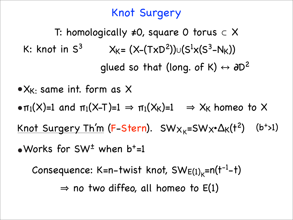## Knot Surgery

T: homologically #0, square 0 torus ⊂ X K: knot in  $S^3$  X<sub>K</sub>= (X–(TxD<sup>2</sup>))∪(S<sup>1</sup>x(S<sup>3</sup>–N<sub>K</sub>)) qlued so that (long. of K)  $\leftrightarrow$   $\partial D^2$ 

 $\pi_1(X)=1$  and  $\pi_1(X-T)=1 \Rightarrow \pi_1(X_K)=1 \Rightarrow X_K$  homeo to X  $\bullet$  X<sub>K</sub>. same int. form as X Knot Surgery Th'm (F-Stern).  $SW_{X_K} = SW_{X} \cdot \Delta_K (t^2)$  (b<sup>+</sup>>1)  $\bullet$  Works for SW<sup> $\pm$ </sup> when b<sup>+</sup>=1

Consequence: K=n-twist knot,  $SW_{E(1)_K}=n(t^{-1}-t)$  $\Rightarrow$  no two diffeo, all homeo to E(1)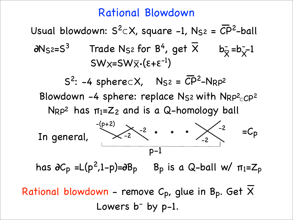#### Rational Blowdown

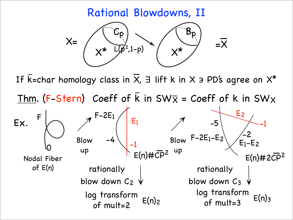Rational Blowdowns, II



If  $\overline{k}$ =char homology class in  $\overline{X}$ ,  $\exists$  lift k in X  $\Rightarrow$  PD's agree on  $X^*$ **!** Thm. (F-Stern) Coeff of k in SWX = Coeff of k in SWX **!** F-2E1 -4 E1 -1  $E(n)$ # $\dot{C}$ E2 -1  $E_1-E_2$  $F-2E_1-E_2$   $\Bigg\{ \Bigg\}$ -5  $E(n)$ #2C ↗ Blow up ↗ Blow up rationally<br>blow down C<sub>2</sub>  $\sqrt{ }$  $log$  transform  $E(n)_2$ of mult=2 rationally<br>blow down C<sub>3</sub>  $\sqrt{ }$  $log$  transform  $E(n)$ 3 of mult=3 F 0 Nodal Fiber of E(n) Ex.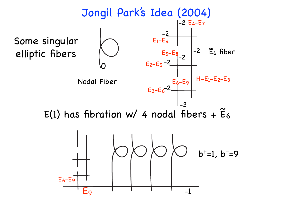

 $E(1)$  has fibration w/ 4 nodal fibers +  $E_6$  $ilde{E}$ 



-2 -2 -2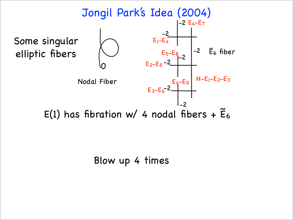

Blow up 4 times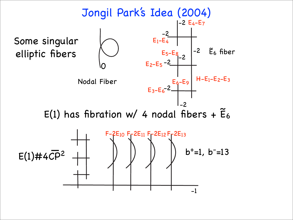

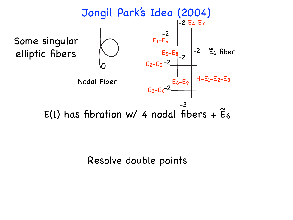

Resolve double points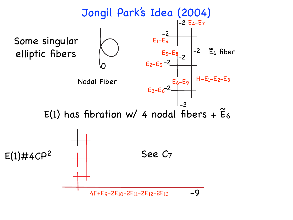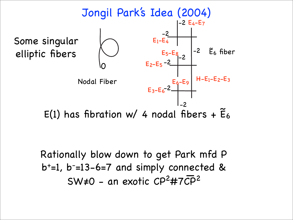

 $E(1)$  has fibration w/ 4 nodal fibers +  $E_6$ 

-2 -2 -2

Rationally blow down to get Park mfd P b+=1, b- =13-6=7 and simply connected & SW#0 - an exotic CP2#7CP**!**<sup>2</sup>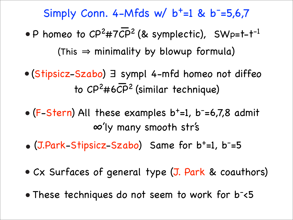Simply Conn. 4-Mfds w/ b<sup>+</sup>=1 & b<sup>-</sup>=5,6,7

• P homeo to  $CP^2$ #7CP<sup>2</sup> (& symplectic), SWp=t-t<sup>-1</sup> (This  $\Rightarrow$  minimality by blowup formula)

**!** (Stipsicz-Szabo) <sup>∃</sup> sympl 4-mfd homeo not diffeo to  $\overline{CP^2}$ #6 $\overline{CP^2}$  (similar technique)

- (F-Stern) All these examples b<sup>+</sup>=1, b<sup>-</sup>=6,7,8 admit \$'ly many smooth str's
- (J.Park-Stipsicz-Szabo) Same for b+=1, b- =5
- Cx Surfaces of general type (J. Park & coauthors)
- These techniques do not seem to work for b-<5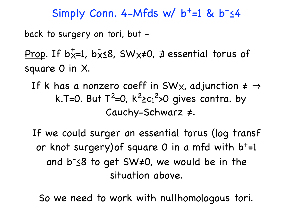Simply Conn. 4-Mfds w/ b<sup>+</sup>=1 & b<sup>-</sup><4

back to surgery on tori, but -

<u>Prop</u>. If b $\bar{x}$ =1, b $\bar{x}$ ≤8, SW $\times$ ≠0, ∄ essential torus of square 0 in X.  $+$  1  $-$ 

- If k has a nonzero coeff in SW<sub>X</sub>, adjunction  $\neq \Rightarrow$ k.T=0. But  $T^2=0$ ,  $k^2$ >c<sub>1</sub><sup>2</sup>>0 gives contra. by Cauchy-Schwarz #.
- If we could surger an essential torus (log transf or knot surgery) of square 0 in a mfd with  $b<sup>+</sup>=1$ and b<sup>-</sup>58 to get SW#0, we would be in the situation above.

So we need to work with nullhomologous tori.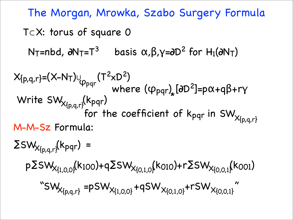The Morgan, Mrowka, Szabo Surgery Formula T⊂X: torus of square 0 N<sub>T</sub>=nbd,  $\partial N_T=T^3$  basis  $\alpha, \beta, \gamma=$  $\partial D^2$  for H<sub>1</sub>( $\partial N_T$ )  $X_{\{p,q,r\}}=(X-N_T)_{\bigcup_{\mathcal{P} \in \mathcal{P}}}(T^2xD^2)$  where  $(\phi_{pqr})_{\star}$  [0D<sup>2</sup>]=p $\alpha$ +q $\beta$ +r $\gamma$ Write  $SW_{x_{n, n}, \chi}$ (K<sub>pqr</sub>)  $\chi_{\{\mathsf{p},\mathsf{q},\mathsf{r}\}}(\mathsf{k}_{\mathsf{p}\mathsf{q}\mathsf{r}})$ for the coefficient of k<sub>pqr</sub> in SW $_{\mathsf{X}\{\mathsf{p},\mathsf{q},\mathsf{r}\}}$ M-M-Sz Formula:  $ZSW_{X_{p,q,r}}(k_{pqr})$  =  $pZSW_{x_{11,0,0}x}(k_{100})+qZSW_{x_{10,1,0}x}(k_{010})+rZSW_{x_{10,0,1}x}(k_{001})$ "SW<sub>X{p,q,r}</sub> =pSW<sub>X{1,0,0}</sub> +qSW<sub>X{0,1,0}</sub> +rSW<sub>X{0,0,1}</sub>"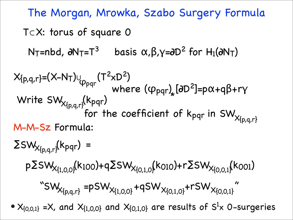The Morgan, Mrowka, Szabo Surgery Formula T⊂X: torus of square 0 N<sub>T</sub>=nbd,  $\partial N_T=T^3$  basis  $\alpha, \beta, \gamma=$  $\partial D^2$  for H<sub>1</sub>( $\partial N_T$ )  $X_{\{p,q,r\}}=(X-N_T)_{\bigcup_{\mathcal{P} \in \mathcal{P}}}(T^2xD^2)$  where  $(\phi_{pqr})_{\star}$  [0D<sup>2</sup>]=p $\alpha$ +q $\beta$ +r $\gamma$ Write  $SW_{x_{n, n}, \chi}$ (K<sub>pqr</sub>)  $\chi_{\{\mathsf{p},\mathsf{q},\mathsf{r}\}}(\mathsf{k}_{\mathsf{p}\mathsf{q}\mathsf{r}})$ for the coefficient of k<sub>pqr</sub> in SW $_{\chi_{\{p,q,r\}}}$ M-M-Sz Formula:  $ZSW_{X_{p,q,r}}(k_{pqr})$  =  $pZSW_{x_{11,0,0}x}(k_{100})+qZSW_{x_{10,1,0}x}(k_{010})+rZSW_{x_{10,0,1}x}(k_{001})$ "SW<sub>X{p,q,r}</sub> =pSW<sub>X{1,0,0}</sub> +qSW<sub>X{0,1,0}</sub> +rSW<sub>X{0,0,1}</sub>"  $X_{\{0,0,1\}}$  =X, and  $X_{\{1,0,0\}}$  and  $X_{\{0,1,0\}}$  are results of  $S^1$ x 0-surgeries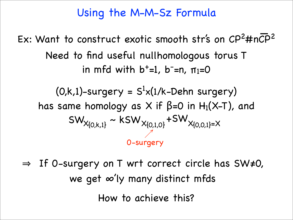## Using the M-M-Sz Formula

# Ex: Want to construct exotic smooth str's on CP<sup>2</sup>#nCP<sup>2</sup> Need to find useful nullhomologous torus T in mfd with  $b<sup>+</sup>=1$ ,  $b<sup>-</sup>=n$ ,  $\pi_1=0$

 $(0,k,l)$ -surgery =  $S<sup>1</sup>(1/k-Dehn surgery)$ has same homology as X if  $\beta$ =0 in H<sub>1</sub>(X-T), and  $SW_{X\{0,k,1\}} \sim KSW_{X\{0,1,0\}} + SW_{X\{0,0,1\}=X}$ ↗ 0-surgery

 $\Rightarrow$  If 0-surgery on T wrt correct circle has SW#0, we get  $\infty'$ ly many distinct mfds How to achieve this?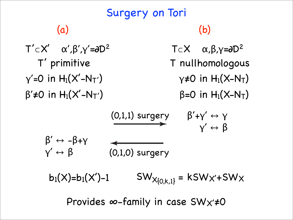#### Surgery on Tori  $T'$ ⊂ $X'$  α΄,β΄,γ´=∂ $D^2$ T' primitive  $\beta'$ ≠0 in H<sub>1</sub>(X'-N<sub>T'</sub>)  $y'=0$  in  $H_1(X'-N_T')$ (a)  $T \subset X$   $\alpha, \beta, \gamma = \partial D^2$ T nullhomologous  $\gamma \neq 0$  in  $H_1(X-N_T)$  $\beta$ =0 in H<sub>1</sub>(X–N<sub>T</sub>) (b)  $(0,1,1)$  surgery  $\beta' + \gamma' \leftrightarrow \gamma$  $y' \leftrightarrow \beta$ (0,1,0) surgery  $\beta' \leftrightarrow -\beta + \gamma$  $y' \leftrightarrow \beta$  $b_1(X)=b_1(X')-1$  SW<sub>X{0,k,1}</sub> = kSW<sub>X'+</sub>SW<sub>X</sub> Provides  $\infty$ -family in case SW $x' \neq 0$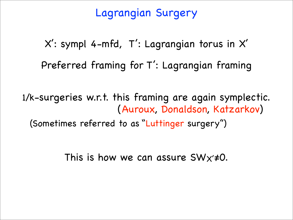## Lagrangian Surgery

X': sympl 4-mfd, T': Lagrangian torus in X' Preferred framing for T': Lagrangian framing

1/k-surgeries w.r.t. this framing are again symplectic. (Auroux, Donaldson, Katzarkov) (Sometimes referred to as "Luttinger surgery")

This is how we can assure  $SWx\neq 0$ .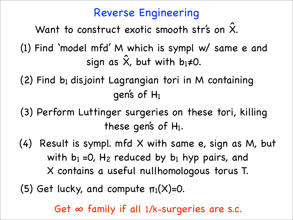## Reverse Engineering

Want to construct exotic smooth str's on X.  $\hat{\textsf{x}}$ 

(1) Find 'model mfd' M which is sympl w/ same e and sign as X, but with b  $\hat{\textsf{x}}$ 1**≠0.** 

 $(2)$  Find b<sub>1</sub> disjoint Lagrangian tori in M containing gen's of H1

(3) Perform Luttinger surgeries on these tori, killing these gen's of  $H_1$ .

(4) Result is sympl. mfd X with same e, sign as M, but with  $b_1 = 0$ ,  $H_2$  reduced by  $b_1$  hyp pairs, and X contains a useful nullhomologous torus T.

(5) Get lucky, and compute  $\pi_1(X)=0$ .

Get  $\infty$  family if all 1/k-surgeries are s.c.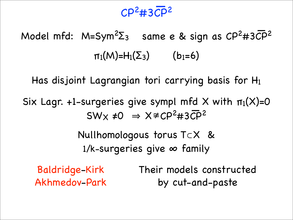## CP2#3CP**!**<sup>2</sup>

Model mfd: M=Sym<sup>2</sup>Σ<sub>3</sub> same e & sign as CP<sup>2</sup>#3CP<sup>2</sup>  $\pi_1(M)=H_1(\Sigma_3)$  (b<sub>1</sub>=6)

Has disjoint Lagrangian tori carrying basis for H1

Six Lagr. +1-surgeries give sympl mfd  $X$  with  $\pi_1(X)=0$  $\Rightarrow$  X  $\neq$  CP<sup>2</sup> #3CP<sup>2</sup> **}**  $SWX \neq 0 \Rightarrow X \neq CP^2 \n\neq 3CP$ 

> Nullhomologous torus T⊂X &  $1/k$ -surgeries give  $\infty$  family

Baldridge-Kirk Akhmedov-Park Their models constructed by cut-and-paste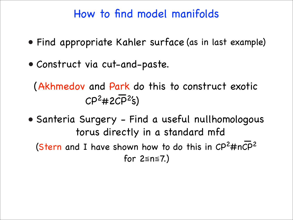## How to find model manifolds

- Find appropriate Kahler surface (as in last example)
- Construct via cut-and-paste.

(Akhmedov and Park do this to construct exotic  $CP<sup>2</sup>$ #2CP<sup>2</sup>'s)

• Santeria Surgery - Find a useful nullhomologous torus directly in a standard mfd (Stern and I have shown how to do this in  $\mathsf{CP}^2\#n\overline{\mathsf{CP}}^2$ for 2≦n≦7.) **|**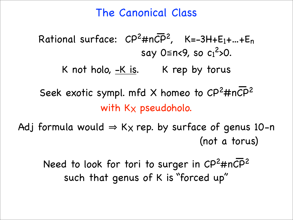## The Canonical Class

#### Rational surface:  $\text{CP}^2$ #n $\overline{\text{CP}}^2$ , K=-3H+E<sub>1</sub>+...+E<sub>n</sub> say 0≦n<9, so  $c_1^2$ >0. **!**

K not holo,  $-K$  is. K rep by torus

Seek exotic sympl. mfd X homeo to  $\text{CP}^2$ #nCP<sup>2</sup> with  $K_{X}$  pseudoholo.

Adj formula would  $\Rightarrow$  K<sub>X</sub> rep. by surface of genus 10-n (not a torus)

Need to look for tori to surger in CP<sup>2</sup>#nCP<sup>2</sup> such that genus of K is "forced up" **!**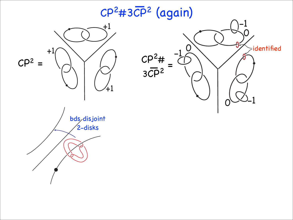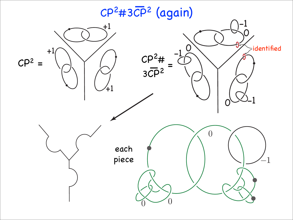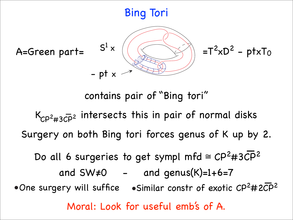## Bing Tori



contains pair of "Bing tori"

K<sub>CP<sup>2</sup>#3CP</sub><sup>2</sup> intersects this in pair of normal disks Surgery on both Bing tori forces genus of K up by 2.

Do all 6 surgeries to get sympl mfd ≅ CP<sup>2</sup>#3CP<sup>2</sup>

and  $SW\neq 0$  - and genus(K)=1+6=7 • One surgery will suffice • Similar constr of exotic  $CP^2$ #2CP<sup>2</sup> Moral: Look for useful emb's of A.